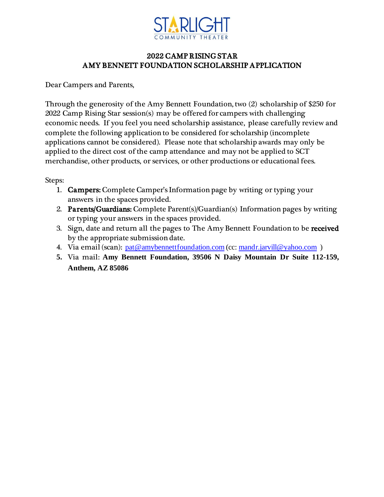

# 2022 CAMP RISING STAR AMY BENNETT FOUNDATION SCHOLARSHIP APPLICATION

Dear Campers and Parents,

Through the generosity of the Amy Bennett Foundation, two (2) scholarship of \$250 for 2022 Camp Rising Star session(s) may be offered for campers with challenging economic needs. If you feel you need scholarship assistance, please carefully review and complete the following application to be considered for scholarship (incomplete applications cannot be considered). Please note that scholarship awards may only be applied to the direct cost of the camp attendance and may not be applied to SCT merchandise, other products, or services, or other productions or educational fees.

Steps:

- 1. Campers: Complete Camper's Information page by writing or typing your answers in the spaces provided.
- 2. Parents/Guardians: Complete Parent(s)/Guardian(s) Information pages by writing or typing your answers in the spaces provided.
- 3. Sign, date and return all the pages to The Amy Bennett Foundation to be received by the appropriate submission date.
- 4. Via email (scan): pat @amybennettfoundation.com (cc: [mandr.jarvill@yahoo.com](mailto:mandr.jarvill@yahoo.com))
- **5.** Via mail: **Amy Bennett Foundation, 39506 N Daisy Mountain Dr Suite 112-159, Anthem, AZ 85086**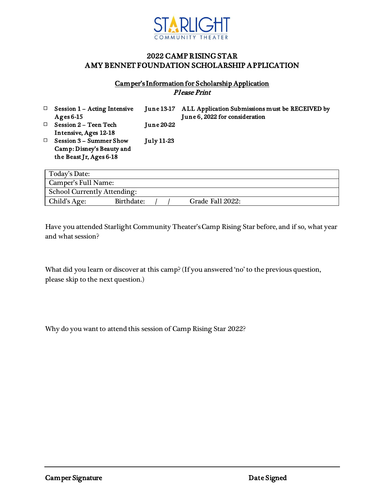

### 2022 CAMP RISING STAR AMY BENNET FOUNDATION SCHOLARSHIP APPLICATION

#### Camper's Information for Scholarship Application Please Print

| □      | <b>Session 1 - Acting Intensive</b><br>Ages $6-15$ |                   | June 13-17 ALL Application Submissions must be RECEIVED by<br>June 6, 2022 for consideration |
|--------|----------------------------------------------------|-------------------|----------------------------------------------------------------------------------------------|
| $\Box$ | <b>Session 2 – Teen Tech</b>                       | <b>June 20-22</b> |                                                                                              |
|        | Intensive, Ages 12-18                              |                   |                                                                                              |
| □      | <b>Session 3 - Summer Show</b>                     | July 11-23        |                                                                                              |
|        | Camp: Disney's Beauty and                          |                   |                                                                                              |
|        | the Beast Jr, Ages 6-18                            |                   |                                                                                              |
|        |                                                    |                   |                                                                                              |

| Today's Date:                      |            |  |  |                  |  |
|------------------------------------|------------|--|--|------------------|--|
| Camper's Full Name:                |            |  |  |                  |  |
| <b>School Currently Attending:</b> |            |  |  |                  |  |
| Child's Age:                       | Birthdate: |  |  | Grade Fall 2022: |  |

Have you attended Starlight Community Theater's Camp Rising Star before, and if so, what year and what session?

What did you learn or discover at this camp? (If you answered 'no' to the previous question, please skip to the next question.)

Why do you want to attend this session of Camp Rising Star 2022?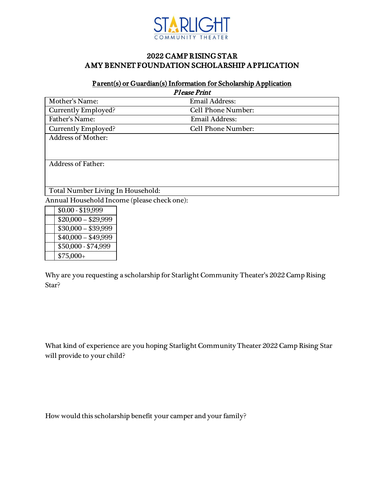

## 2022 CAMP RISING STAR AMY BENNET FOUNDATION SCHOLARSHIP APPLICATION

#### Parent(s) or Guardian(s) Information for Scholarship Application

| <b>Please Print</b>               |                           |  |  |  |
|-----------------------------------|---------------------------|--|--|--|
| Mother's Name:                    | <b>Email Address:</b>     |  |  |  |
| Currently Employed?               | Cell Phone Number:        |  |  |  |
| Father's Name:                    | <b>Email Address:</b>     |  |  |  |
| Currently Employed?               | <b>Cell Phone Number:</b> |  |  |  |
| <b>Address of Mother:</b>         |                           |  |  |  |
|                                   |                           |  |  |  |
|                                   |                           |  |  |  |
| <b>Address of Father:</b>         |                           |  |  |  |
|                                   |                           |  |  |  |
|                                   |                           |  |  |  |
| Total Number Living In Household: |                           |  |  |  |

Annual Household Income (please check one):

| $$0.00 - $19,999$   |
|---------------------|
| $$20,000 - $29,999$ |
| $$30,000 - $39,999$ |
| $$40,000 - $49,999$ |
| \$50,000 - \$74,999 |
| $$75,000+$          |

Why are you requesting a scholarship for Starlight Community Theater's 2022 Camp Rising Star?

What kind of experience are you hoping Starlight Community Theater 2022 Camp Rising Star will provide to your child?

How would this scholarship benefit your camper and your family?